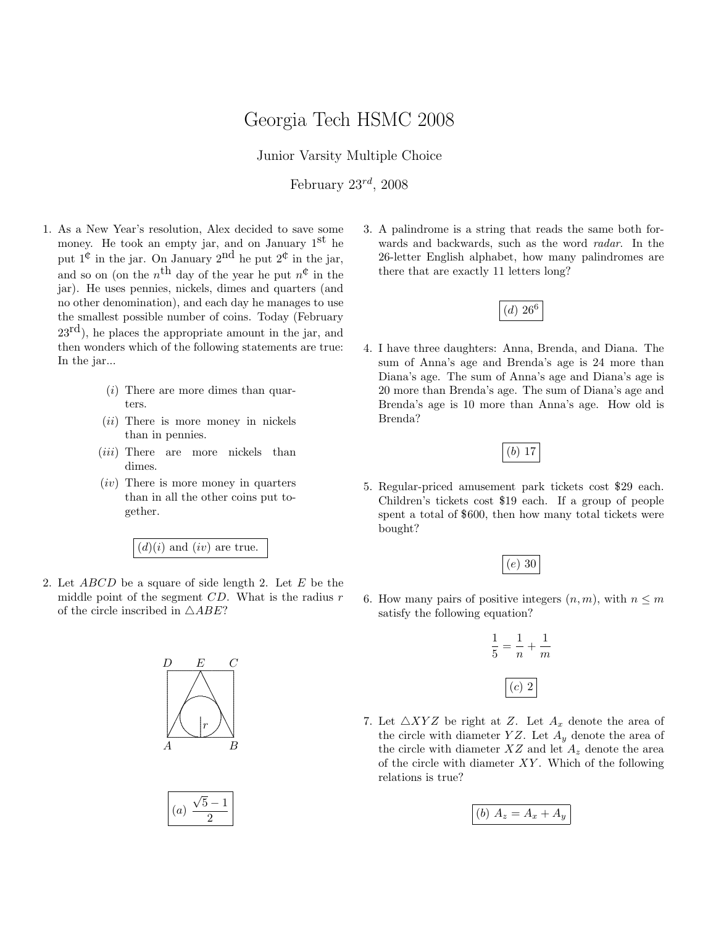## Georgia Tech HSMC 2008

Junior Varsity Multiple Choice

February  $23^{rd}$ ,  $2008$ 

- 1. As a New Year's resolution, Alex decided to save some money. He took an empty jar, and on January 1<sup>st</sup> he put  $1^{\mathfrak{C}}$  in the jar. On January  $2^{\text{nd}}$  he put  $2^{\mathfrak{C}}$  in the jar, and so on (on the  $n^{\text{th}}$  day of the year he put  $n^{\text{th}}$  in the jar). He uses pennies, nickels, dimes and quarters (and no other denomination), and each day he manages to use the smallest possible number of coins. Today (February  $23^{\text{rd}}$ , he places the appropriate amount in the jar, and then wonders which of the following statements are true: In the jar...
	- (i) There are more dimes than quarters.
	- (*ii*) There is more money in nickels than in pennies.
	- (*iii*) There are more nickels than dimes.
	- (iv) There is more money in quarters than in all the other coins put together.

 $(d)(i)$  and  $(iv)$  are true.

2. Let  $ABCD$  be a square of side length 2. Let E be the middle point of the segment  $CD$ . What is the radius  $r$ of the circle inscribed in  $\triangle ABE$ ?





3. A palindrome is a string that reads the same both forwards and backwards, such as the word radar. In the 26-letter English alphabet, how many palindromes are there that are exactly 11 letters long?



4. I have three daughters: Anna, Brenda, and Diana. The sum of Anna's age and Brenda's age is 24 more than Diana's age. The sum of Anna's age and Diana's age is 20 more than Brenda's age. The sum of Diana's age and Brenda's age is 10 more than Anna's age. How old is Brenda?

(b) 17

5. Regular-priced amusement park tickets cost \$29 each. Children's tickets cost \$19 each. If a group of people spent a total of \$600, then how many total tickets were bought?



6. How many pairs of positive integers  $(n, m)$ , with  $n \leq m$ satisfy the following equation?

$$
\frac{1}{5} = \frac{1}{n} + \frac{1}{m}
$$

$$
(c) 2
$$

7. Let  $\triangle XYZ$  be right at Z. Let  $A_x$  denote the area of the circle with diameter YZ. Let  $A_y$  denote the area of the circle with diameter  $XZ$  and let  $A<sub>z</sub>$  denote the area of the circle with diameter  $XY$ . Which of the following relations is true?

(b) 
$$
A_z = A_x + A_y
$$